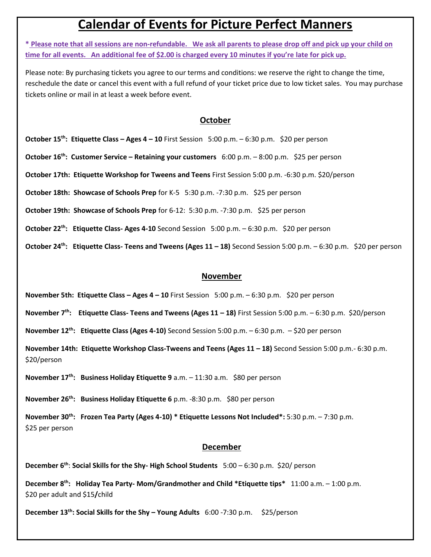## **Calendar of Events for Picture Perfect Manners**

**\* Please note that all sessions are non-refundable. We ask all parents to please drop off and pick up your child on time for all events. An additional fee of \$2.00 is charged every 10 minutes if you're late for pick up.**

Please note: By purchasing tickets you agree to our terms and conditions: we reserve the right to change the time, reschedule the date or cancel this event with a full refund of your ticket price due to low ticket sales. You may purchase tickets online or mail in at least a week before event.

## **October**

**October 15th: Etiquette Class – Ages 4 – 10** First Session 5:00 p.m. – 6:30 p.m. \$20 per person

**October 16th: Customer Service – Retaining your customers** 6:00 p.m. – 8:00 p.m. \$25 per person

**October 17th: Etiquette Workshop for Tweens and Teens** First Session 5:00 p.m. -6:30 p.m. \$20/person

**October 18th: Showcase of Schools Prep** for K-5 5:30 p.m. -7:30 p.m. \$25 per person

**October 19th: Showcase of Schools Prep** for 6-12: 5:30 p.m. -7:30 p.m. \$25 per person

**October 22<sup>th</sup>: Etiquette Class- Ages 4-10** Second Session 5:00 p.m. – 6:30 p.m. \$20 per person

**October 24<sup>th</sup>: Etiquette Class- Teens and Tweens (Ages 11 – 18) Second Session 5:00 p.m. – 6:30 p.m. \$20 per person** 

## **November**

**November 5th: Etiquette Class – Ages 4 – 10** First Session 5:00 p.m. – 6:30 p.m. \$20 per person

**November 7 th: Etiquette Class- Teens and Tweens (Ages 11 – 18)** First Session 5:00 p.m. – 6:30 p.m. \$20/person

**November 12<sup>th</sup>: Etiquette Class (Ages 4-10)** Second Session 5:00 p.m. – 6:30 p.m. – \$20 per person

**November 14th: Etiquette Workshop Class-Tweens and Teens (Ages 11 - 18) Second Session 5:00 p.m. - 6:30 p.m.** \$20/person

**November 17th: Business Holiday Etiquette 9** a.m. – 11:30 a.m. \$80 per person

**November 26 th: Business Holiday Etiquette 6** p.m. -8:30 p.m. \$80 per person

**November 30th: Frozen Tea Party (Ages 4-10) \* Etiquette Lessons Not Included\*:** 5:30 p.m. – 7:30 p.m. \$25 per person

## **December**

**December 6th**: **Social Skills for the Shy- High School Students** 5:00 – 6:30 p.m. \$20/ person

**December 8 th: Holiday Tea Party- Mom/Grandmother and Child \*Etiquette tips\*** 11:00 a.m. – 1:00 p.m. \$20 per adult and \$15**/**child

**December 13th: Social Skills for the Shy – Young Adults** 6:00 -7:30 p.m. \$25/person